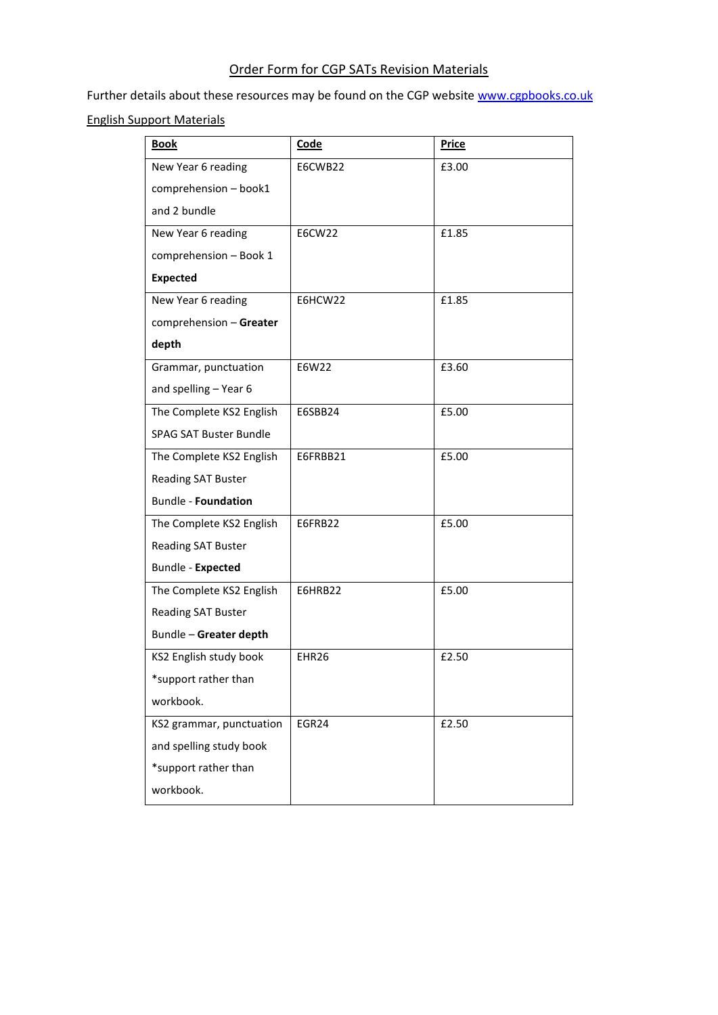## Order Form for CGP SATs Revision Materials

Further details about these resources may be found on the CGP website [www.cgpbooks.co.uk](http://www.cgpbooks.co.uk/)

## English Support Materials

| <b>Book</b>                   | Code     | <b>Price</b> |
|-------------------------------|----------|--------------|
| New Year 6 reading            | E6CWB22  | £3.00        |
| comprehension - book1         |          |              |
| and 2 bundle                  |          |              |
| New Year 6 reading            | E6CW22   | £1.85        |
| comprehension - Book 1        |          |              |
| <b>Expected</b>               |          |              |
| New Year 6 reading            | E6HCW22  | £1.85        |
| comprehension - Greater       |          |              |
| depth                         |          |              |
| Grammar, punctuation          | E6W22    | £3.60        |
| and spelling - Year 6         |          |              |
| The Complete KS2 English      | E6SBB24  | £5.00        |
| <b>SPAG SAT Buster Bundle</b> |          |              |
| The Complete KS2 English      | E6FRBB21 | £5.00        |
| <b>Reading SAT Buster</b>     |          |              |
| <b>Bundle - Foundation</b>    |          |              |
| The Complete KS2 English      | E6FRB22  | £5.00        |
| Reading SAT Buster            |          |              |
| Bundle - Expected             |          |              |
| The Complete KS2 English      | E6HRB22  | £5.00        |
| Reading SAT Buster            |          |              |
| Bundle - Greater depth        |          |              |
| KS2 English study book        | EHR26    | £2.50        |
| *support rather than          |          |              |
| workbook.                     |          |              |
| KS2 grammar, punctuation      | EGR24    | £2.50        |
| and spelling study book       |          |              |
| *support rather than          |          |              |
| workbook.                     |          |              |